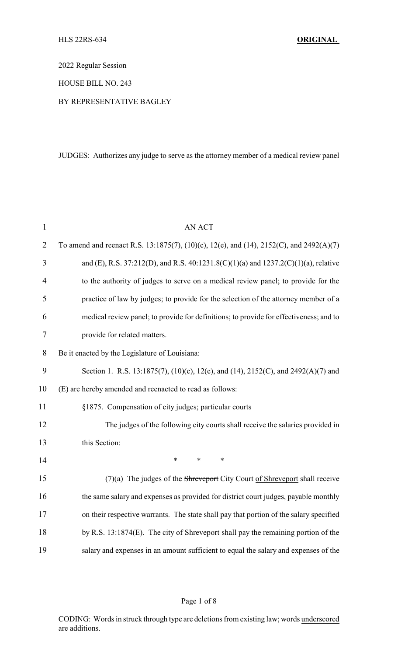2022 Regular Session

HOUSE BILL NO. 243

# BY REPRESENTATIVE BAGLEY

JUDGES: Authorizes any judge to serve as the attorney member of a medical review panel

| $\mathbf{1}$   | <b>AN ACT</b>                                                                           |
|----------------|-----------------------------------------------------------------------------------------|
| $\overline{2}$ | To amend and reenact R.S. 13:1875(7), (10)(c), 12(e), and (14), 2152(C), and 2492(A)(7) |
| 3              | and (E), R.S. 37:212(D), and R.S. 40:1231.8(C)(1)(a) and 1237.2(C)(1)(a), relative      |
| 4              | to the authority of judges to serve on a medical review panel; to provide for the       |
| 5              | practice of law by judges; to provide for the selection of the attorney member of a     |
| 6              | medical review panel; to provide for definitions; to provide for effectiveness; and to  |
| 7              | provide for related matters.                                                            |
| 8              | Be it enacted by the Legislature of Louisiana:                                          |
| 9              | Section 1. R.S. 13:1875(7), (10)(c), 12(e), and (14), 2152(C), and 2492(A)(7) and       |
| 10             | (E) are hereby amended and reenacted to read as follows:                                |
| 11             | §1875. Compensation of city judges; particular courts                                   |
| 12             | The judges of the following city courts shall receive the salaries provided in          |
| 13             | this Section:                                                                           |
| 14             | $\ast$<br>$\ast$<br>$\ast$                                                              |
| 15             | $(7)(a)$ The judges of the Shreveport City Court of Shreveport shall receive            |
| 16             | the same salary and expenses as provided for district court judges, payable monthly     |
| 17             | on their respective warrants. The state shall pay that portion of the salary specified  |
| 18             | by R.S. 13:1874(E). The city of Shreveport shall pay the remaining portion of the       |
| 19             | salary and expenses in an amount sufficient to equal the salary and expenses of the     |

# Page 1 of 8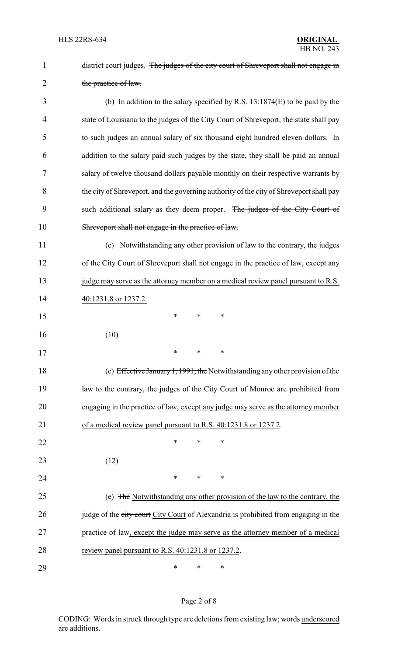| $\mathbf{1}$   | district court judges. The judges of the city court of Shreveport shall not engage in   |
|----------------|-----------------------------------------------------------------------------------------|
| $\overline{2}$ | the practice of law.                                                                    |
| 3              | (b) In addition to the salary specified by R.S. $13:1874(E)$ to be paid by the          |
| 4              | state of Louisiana to the judges of the City Court of Shreveport, the state shall pay   |
| 5              | to such judges an annual salary of six thousand eight hundred eleven dollars. In        |
| 6              | addition to the salary paid such judges by the state, they shall be paid an annual      |
| 7              | salary of twelve thousand dollars payable monthly on their respective warrants by       |
| 8              | the city of Shreveport, and the governing authority of the city of Shreveport shall pay |
| 9              | such additional salary as they deem proper. The judges of the City Court of             |
| 10             | Shreveport shall not engage in the practice of law.                                     |
| 11             | (c) Notwithstanding any other provision of law to the contrary, the judges              |
| 12             | of the City Court of Shreveport shall not engage in the practice of law, except any     |
| 13             | judge may serve as the attorney member on a medical review panel pursuant to R.S.       |
| 14             | 40:1231.8 or 1237.2.                                                                    |
| 15             | ∗<br>$\ast$<br>∗                                                                        |
| 16             | (10)                                                                                    |
| 17             | ∗<br>*<br>*                                                                             |
| 18             | (c) Effective January 1, 1991, the Notwithstanding any other provision of the           |
| 19             | law to the contrary, the judges of the City Court of Monroe are prohibited from         |
| 20             | engaging in the practice of law, except any judge may serve as the attorney member      |
| 21             | of a medical review panel pursuant to R.S. 40:1231.8 or 1237.2.                         |
| 22             | $\ast$<br>*<br>*                                                                        |
| 23             | (12)                                                                                    |
| 24             | $\ast$<br>*<br>*                                                                        |
| 25             | (e) The Notwithstanding any other provision of the law to the contrary, the             |
| 26             | judge of the city court City Court of Alexandria is prohibited from engaging in the     |
| 27             | practice of law, except the judge may serve as the attorney member of a medical         |
| 28             | review panel pursuant to R.S. 40:1231.8 or 1237.2.                                      |
| 29             | $\ast$<br>*<br>∗                                                                        |

# Page 2 of 8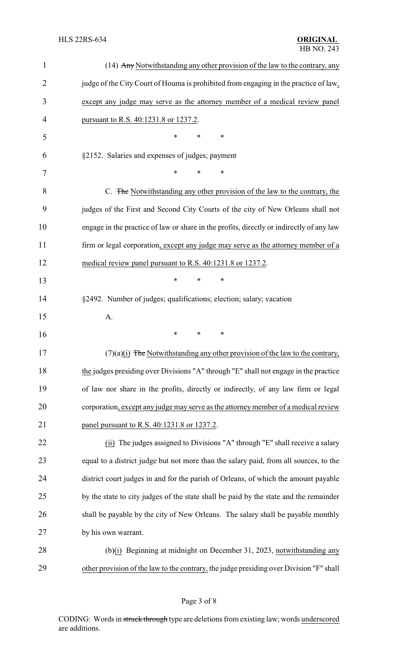| $\mathbf{1}$   | (14) Any Notwithstanding any other provision of the law to the contrary, any             |
|----------------|------------------------------------------------------------------------------------------|
| $\overline{2}$ | judge of the City Court of Houma is prohibited from engaging in the practice of law,     |
| 3              | except any judge may serve as the attorney member of a medical review panel              |
| 4              | pursuant to R.S. 40:1231.8 or 1237.2.                                                    |
| 5              | ∗<br>∗<br>*                                                                              |
| 6              | §2152. Salaries and expenses of judges; payment                                          |
| 7              | *<br>∗<br>*                                                                              |
| 8              | C. The Notwithstanding any other provision of the law to the contrary, the               |
| 9              | judges of the First and Second City Courts of the city of New Orleans shall not          |
| 10             | engage in the practice of law or share in the profits, directly or indirectly of any law |
| 11             | firm or legal corporation, except any judge may serve as the attorney member of a        |
| 12             | medical review panel pursuant to R.S. 40:1231.8 or 1237.2.                               |
| 13             | $\ast$<br>∗<br>*                                                                         |
| 14             | §2492. Number of judges; qualifications; election; salary; vacation                      |
| 15             | A.                                                                                       |
| 16             | *<br>*<br>∗                                                                              |
| 17             | $(7)(a)(i)$ The Notwithstanding any other provision of the law to the contrary,          |
| 18             | the judges presiding over Divisions "A" through "E" shall not engage in the practice     |
| 19             | of law nor share in the profits, directly or indirectly, of any law firm or legal        |
| 20             | corporation, except any judge may serve as the attorney member of a medical review       |
| 21             | panel pursuant to R.S. 40:1231.8 or 1237.2.                                              |
| 22             | (ii) The judges assigned to Divisions "A" through "E" shall receive a salary             |
| 23             | equal to a district judge but not more than the salary paid, from all sources, to the    |
| 24             | district court judges in and for the parish of Orleans, of which the amount payable      |
| 25             | by the state to city judges of the state shall be paid by the state and the remainder    |
| 26             | shall be payable by the city of New Orleans. The salary shall be payable monthly         |
| 27             | by his own warrant.                                                                      |
| 28             | (b)(i) Beginning at midnight on December 31, 2023, notwithstanding any                   |
| 29             | other provision of the law to the contrary, the judge presiding over Division "F" shall  |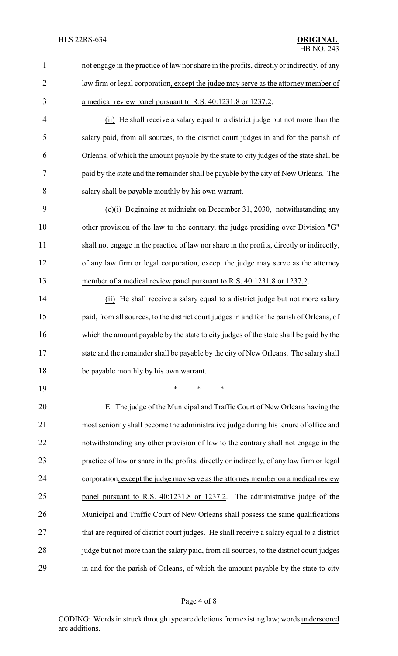| not engage in the practice of law nor share in the profits, directly or indirectly, of any |
|--------------------------------------------------------------------------------------------|
| law firm or legal corporation, except the judge may serve as the attorney member of        |
| a medical review panel pursuant to R.S. 40:1231.8 or 1237.2.                               |
|                                                                                            |

 (ii) He shall receive a salary equal to a district judge but not more than the salary paid, from all sources, to the district court judges in and for the parish of Orleans, of which the amount payable by the state to city judges of the state shall be paid by the state and the remainder shall be payable by the city of New Orleans. The salary shall be payable monthly by his own warrant.

 (c)(i) Beginning at midnight on December 31, 2030, notwithstanding any other provision of the law to the contrary, the judge presiding over Division "G" shall not engage in the practice of law nor share in the profits, directly or indirectly, of any law firm or legal corporation, except the judge may serve as the attorney 13 member of a medical review panel pursuant to R.S. 40:1231.8 or 1237.2.

 (ii) He shall receive a salary equal to a district judge but not more salary paid, from all sources, to the district court judges in and for the parish of Orleans, of which the amount payable by the state to city judges of the state shall be paid by the 17 state and the remainder shall be payable by the city of New Orleans. The salary shall be payable monthly by his own warrant.

\* \* \*

 E. The judge of the Municipal and Traffic Court of New Orleans having the most seniority shall become the administrative judge during his tenure of office and notwithstanding any other provision of law to the contrary shall not engage in the practice of law or share in the profits, directly or indirectly, of any law firm or legal corporation, except the judge may serve as the attorneymember on a medical review panel pursuant to R.S. 40:1231.8 or 1237.2. The administrative judge of the Municipal and Traffic Court of New Orleans shall possess the same qualifications 27 that are required of district court judges. He shall receive a salary equal to a district 28 judge but not more than the salary paid, from all sources, to the district court judges in and for the parish of Orleans, of which the amount payable by the state to city

#### Page 4 of 8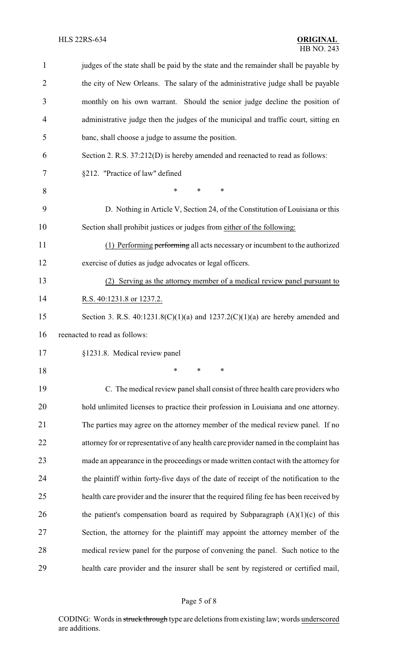| $\mathbf{1}$   | judges of the state shall be paid by the state and the remainder shall be payable by   |
|----------------|----------------------------------------------------------------------------------------|
| $\overline{2}$ | the city of New Orleans. The salary of the administrative judge shall be payable       |
| 3              | monthly on his own warrant. Should the senior judge decline the position of            |
| 4              | administrative judge then the judges of the municipal and traffic court, sitting en    |
| 5              | banc, shall choose a judge to assume the position.                                     |
| 6              | Section 2. R.S. 37:212(D) is hereby amended and reenacted to read as follows:          |
| 7              | §212. "Practice of law" defined                                                        |
| 8              | *<br>∗<br>∗                                                                            |
| 9              | D. Nothing in Article V, Section 24, of the Constitution of Louisiana or this          |
| 10             | Section shall prohibit justices or judges from either of the following:                |
| 11             | (1) Performing performing all acts necessary or incumbent to the authorized            |
| 12             | exercise of duties as judge advocates or legal officers.                               |
| 13             | (2) Serving as the attorney member of a medical review panel pursuant to               |
| 14             | R.S. 40:1231.8 or 1237.2.                                                              |
| 15             | Section 3. R.S. $40:1231.8(C)(1)(a)$ and $1237.2(C)(1)(a)$ are hereby amended and      |
| 16             | reenacted to read as follows:                                                          |
| 17             | §1231.8. Medical review panel                                                          |
| 18             | $\ast$<br>$\ast$<br>$\ast$                                                             |
| 19             | C. The medical review panel shall consist of three health care providers who           |
| 20             | hold unlimited licenses to practice their profession in Louisiana and one attorney.    |
| 21             | The parties may agree on the attorney member of the medical review panel. If no        |
| 22             | attorney for or representative of any health care provider named in the complaint has  |
| 23             | made an appearance in the proceedings or made written contact with the attorney for    |
| 24             | the plaintiff within forty-five days of the date of receipt of the notification to the |
| 25             | health care provider and the insurer that the required filing fee has been received by |
| 26             | the patient's compensation board as required by Subparagraph $(A)(1)(c)$ of this       |
| 27             | Section, the attorney for the plaintiff may appoint the attorney member of the         |
| 28             | medical review panel for the purpose of convening the panel. Such notice to the        |
| 29             | health care provider and the insurer shall be sent by registered or certified mail,    |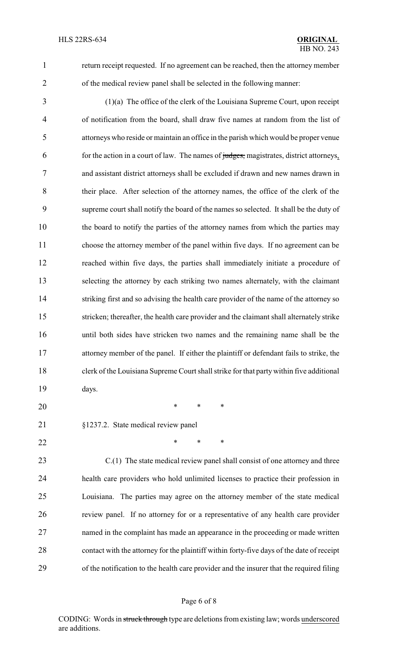return receipt requested. If no agreement can be reached, then the attorney member of the medical review panel shall be selected in the following manner:

 (1)(a) The office of the clerk of the Louisiana Supreme Court, upon receipt of notification from the board, shall draw five names at random from the list of attorneys who reside or maintain an office in the parish which would be proper venue for the action in a court of law. The names of judges, magistrates, district attorneys, and assistant district attorneys shall be excluded if drawn and new names drawn in their place. After selection of the attorney names, the office of the clerk of the supreme court shall notify the board of the names so selected. It shall be the duty of the board to notify the parties of the attorney names from which the parties may choose the attorney member of the panel within five days. If no agreement can be reached within five days, the parties shall immediately initiate a procedure of selecting the attorney by each striking two names alternately, with the claimant 14 striking first and so advising the health care provider of the name of the attorney so stricken; thereafter, the health care provider and the claimant shall alternately strike until both sides have stricken two names and the remaining name shall be the attorney member of the panel. If either the plaintiff or defendant fails to strike, the clerk of the Louisiana Supreme Court shall strike for that partywithin five additional days.

- \* \* \*
- §1237.2. State medical review panel
- **\*** \* \* \*

 C.(1) The state medical review panel shall consist of one attorney and three health care providers who hold unlimited licenses to practice their profession in Louisiana. The parties may agree on the attorney member of the state medical review panel. If no attorney for or a representative of any health care provider named in the complaint has made an appearance in the proceeding or made written contact with the attorney for the plaintiff within forty-five days of the date of receipt of the notification to the health care provider and the insurer that the required filing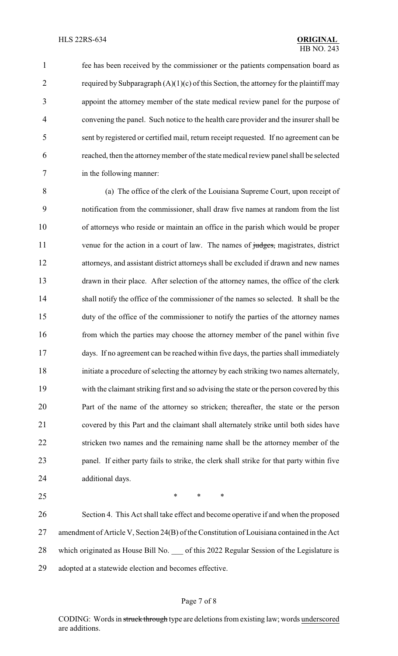fee has been received by the commissioner or the patients compensation board as 2 required by Subparagraph  $(A)(1)(c)$  of this Section, the attorney for the plaintiff may appoint the attorney member of the state medical review panel for the purpose of convening the panel. Such notice to the health care provider and the insurer shall be sent by registered or certified mail, return receipt requested. If no agreement can be reached, then the attorneymember of the state medical review panel shall be selected in the following manner:

 (a) The office of the clerk of the Louisiana Supreme Court, upon receipt of notification from the commissioner, shall draw five names at random from the list of attorneys who reside or maintain an office in the parish which would be proper 11 venue for the action in a court of law. The names of judges, magistrates, district attorneys, and assistant district attorneys shall be excluded if drawn and new names drawn in their place. After selection of the attorney names, the office of the clerk shall notify the office of the commissioner of the names so selected. It shall be the duty of the office of the commissioner to notify the parties of the attorney names 16 from which the parties may choose the attorney member of the panel within five days. If no agreement can be reached within five days, the parties shall immediately initiate a procedure of selecting the attorney by each striking two names alternately, with the claimant striking first and so advising the state or the person covered by this Part of the name of the attorney so stricken; thereafter, the state or the person covered by this Part and the claimant shall alternately strike until both sides have stricken two names and the remaining name shall be the attorney member of the panel. If either party fails to strike, the clerk shall strike for that party within five additional days.

 $*$  \* \* \*

 Section 4. This Act shall take effect and become operative if and when the proposed amendment of Article V, Section 24(B) of the Constitution of Louisiana contained in the Act 28 which originated as House Bill No. of this 2022 Regular Session of the Legislature is adopted at a statewide election and becomes effective.

## Page 7 of 8